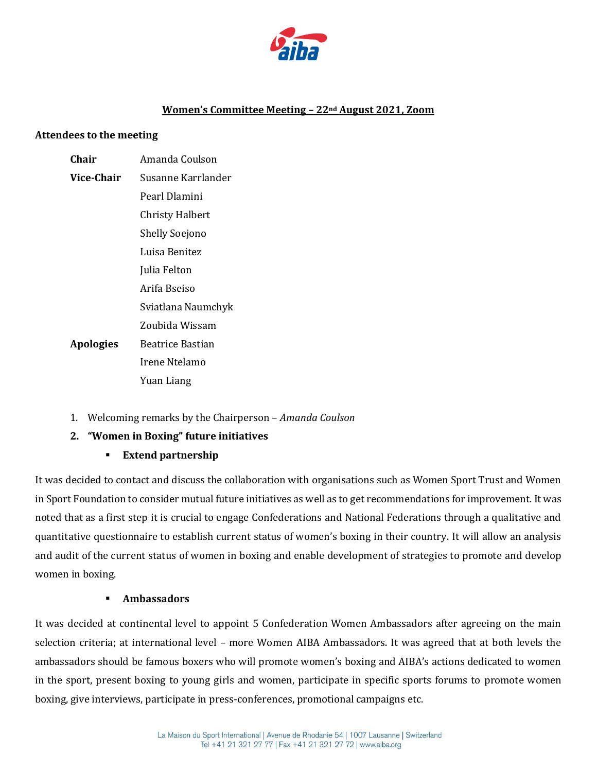

### **Women's Committee Meeting – 22nd August 2021, Zoom**

#### **Attendees to the meeting**

| Chair            | Amanda Coulson          |
|------------------|-------------------------|
| Vice-Chair       | Susanne Karrlander      |
|                  | Pearl Dlamini           |
|                  | Christy Halbert         |
|                  | Shelly Soejono          |
|                  | Luisa Benitez           |
|                  | Julia Felton            |
|                  | Arifa Bseiso            |
|                  | Sviatlana Naumchyk      |
|                  | Zoubida Wissam          |
| <b>Apologies</b> | <b>Beatrice Bastian</b> |
|                  | Irene Ntelamo           |
|                  | Yuan Liang              |

- 1. Welcoming remarks by the Chairperson *Amanda Coulson*
- **2. "Women in Boxing" future initiatives** 
	- **Extend partnership**

It was decided to contact and discuss the collaboration with organisations such as Women Sport Trust and Women in Sport Foundation to consider mutual future initiatives as well as to get recommendations for improvement. It was noted that as a first step it is crucial to engage Confederations and National Federations through a qualitative and quantitative questionnaire to establish current status of women's boxing in their country. It will allow an analysis and audit of the current status of women in boxing and enable development of strategies to promote and develop women in boxing.

### **Ambassadors**

It was decided at continental level to appoint 5 Confederation Women Ambassadors after agreeing on the main selection criteria; at international level – more Women AIBA Ambassadors. It was agreed that at both levels the ambassadors should be famous boxers who will promote women's boxing and AIBA's actions dedicated to women in the sport, present boxing to young girls and women, participate in specific sports forums to promote women boxing, give interviews, participate in press-conferences, promotional campaigns etc.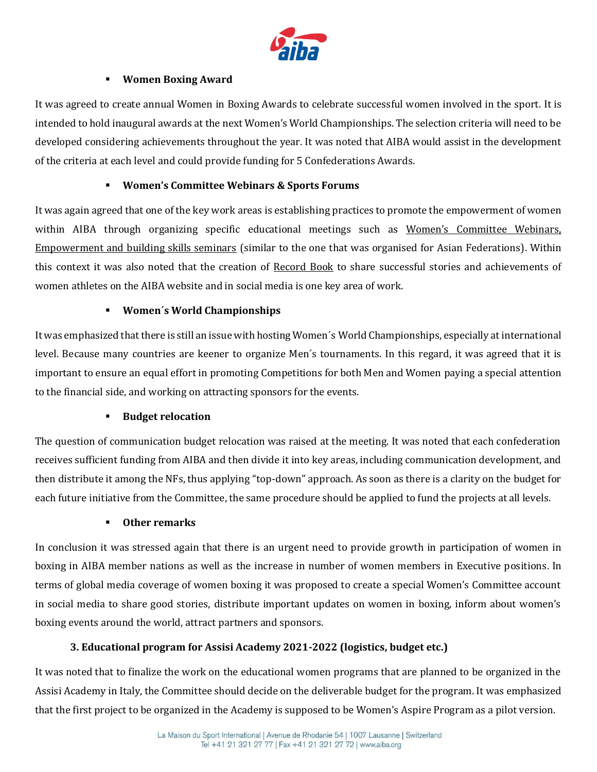

# **Women Boxing Award**

It was agreed to create annual Women in Boxing Awards to celebrate successful women involved in the sport. It is intended to hold inaugural awards at the next Women's World Championships. The selection criteria will need to be developed considering achievements throughout the year. It was noted that AIBA would assist in the development of the criteria at each level and could provide funding for 5 Confederations Awards.

# **Women's Committee Webinars & Sports Forums**

It was again agreed that one of the key work areas is establishing practices to promote the empowerment of women within AIBA through organizing specific educational meetings such as Women's Committee Webinars, Empowerment and building skills seminars (similar to the one that was organised for Asian Federations). Within this context it was also noted that the creation of Record Book to share successful stories and achievements of women athletes on the AIBA website and in social media is one key area of work.

# **Women´s World Championships**

It was emphasized that there is still an issue with hosting Women´s World Championships, especially at international level. Because many countries are keener to organize Men´s tournaments. In this regard, it was agreed that it is important to ensure an equal effort in promoting Competitions for both Men and Women paying a special attention to the financial side, and working on attracting sponsors for the events.

### **Budget relocation**

The question of communication budget relocation was raised at the meeting. It was noted that each confederation receives sufficient funding from AIBA and then divide it into key areas, including communication development, and then distribute it among the NFs, thus applying "top-down" approach. As soon as there is a clarity on the budget for each future initiative from the Committee, the same procedure should be applied to fund the projects at all levels.

### **Other remarks**

In conclusion it was stressed again that there is an urgent need to provide growth in participation of women in boxing in AIBA member nations as well as the increase in number of women members in Executive positions. In terms of global media coverage of women boxing it was proposed to create a special Women's Committee account in social media to share good stories, distribute important updates on women in boxing, inform about women's boxing events around the world, attract partners and sponsors.

### **3. Educational program for Assisi Academy 2021-2022 (logistics, budget etc.)**

It was noted that to finalize the work on the educational women programs that are planned to be organized in the Assisi Academy in Italy, the Committee should decide on the deliverable budget for the program. It was emphasized that the first project to be organized in the Academy is supposed to be Women's Aspire Program as a pilot version.